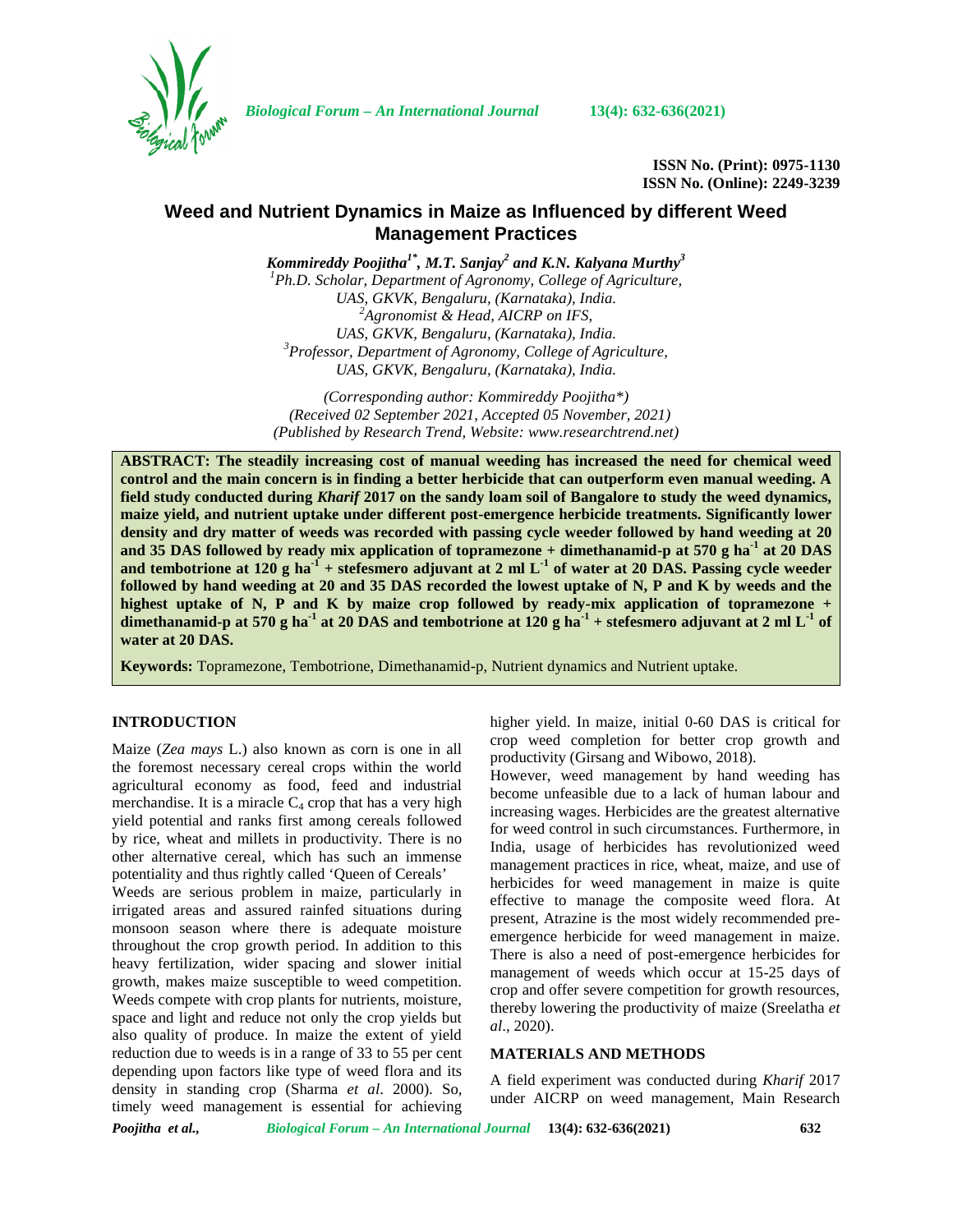

*Biological Forum – An International Journal* **13(4): 632-636(2021)**

**ISSN No. (Print): 0975-1130 ISSN No. (Online): 2249-3239**

# **Weed and Nutrient Dynamics in Maize as Influenced by different Weed Management Practices**

*Kommireddy Poojitha1\* , M.T. Sanjay<sup>2</sup> and K.N. Kalyana Murthy<sup>3</sup> <sup>1</sup>Ph.D. Scholar, Department of Agronomy, College of Agriculture, UAS, GKVK, Bengaluru, (Karnataka), India. <sup>2</sup>Agronomist & Head, AICRP on IFS, UAS, GKVK, Bengaluru, (Karnataka), India. <sup>3</sup>Professor, Department of Agronomy, College of Agriculture, UAS, GKVK, Bengaluru, (Karnataka), India.*

*(Corresponding author: Kommireddy Poojitha\*) (Received 02 September 2021, Accepted 05 November, 2021) (Published by Research Trend, Website: [www.researchtrend.net\)](www.researchtrend.net)*

**ABSTRACT: The steadily increasing cost of manual weeding has increased the need for chemical weed control and the main concern is in finding a better herbicide that can outperform even manual weeding. A field study conducted during** *Kharif* **2017 on the sandy loam soil of Bangalore to study the weed dynamics, maize yield, and nutrient uptake under different post-emergence herbicide treatments. Significantly lower density and dry matter of weeds was recorded with passing cycle weeder followed by hand weeding at 20 and 35 DAS followed by ready mix application of topramezone + dimethanamid-p at 570 g ha-1 at 20 DAS and tembotrione at 120 g ha-1 + stefesmero adjuvant at 2 ml L-1 of water at 20 DAS. Passing cycle weeder followed by hand weeding at 20 and 35 DAS recorded the lowest uptake of N, P and K by weeds and the highest uptake of N, P and K by maize crop followed by ready-mix application of topramezone + dimethanamid-p at 570 g ha-1 at 20 DAS and tembotrione at 120 g ha-1 + stefesmero adjuvant at 2 ml L-1 of water at 20 DAS.**

**Keywords:** Topramezone, Tembotrione, Dimethanamid-p, Nutrient dynamics and Nutrient uptake.

## **INTRODUCTION**

Maize (*Zea mays* L.) also known as corn is one in all the foremost necessary cereal crops within the world agricultural economy as food, feed and industrial merchandise. It is a miracle  $C_4$  crop that has a very high yield potential and ranks first among cereals followed by rice, wheat and millets in productivity. There is no other alternative cereal, which has such an immense potentiality and thus rightly called 'Queen of Cereals' Weeds are serious problem in maize, particularly in irrigated areas and assured rainfed situations during monsoon season where there is adequate moisture throughout the crop growth period. In addition to this heavy fertilization, wider spacing and slower initial growth, makes maize susceptible to weed competition. Weeds compete with crop plants for nutrients, moisture, space and light and reduce not only the crop yields but also quality of produce. In maize the extent of yield reduction due to weeds is in a range of 33 to 55 per cent depending upon factors like type of weed flora and its density in standing crop (Sharma *et al*. 2000). So, timely weed management is essential for achieving

higher yield. In maize, initial 0-60 DAS is critical for crop weed completion for better crop growth and productivity (Girsang and Wibowo, 2018).

However, weed management by hand weeding has become unfeasible due to a lack of human labour and increasing wages. Herbicides are the greatest alternative for weed control in such circumstances. Furthermore, in India, usage of herbicides has revolutionized weed management practices in rice, wheat, maize, and use of herbicides for weed management in maize is quite effective to manage the composite weed flora. At present, Atrazine is the most widely recommended pre emergence herbicide for weed management in maize. There is also a need of post-emergence herbicides for management of weeds which occur at 15-25 days of crop and offer severe competition for growth resources, thereby lowering the productivity of maize (Sreelatha *et al*., 2020).

### **MATERIALS AND METHODS**

A field experiment was conducted during *Kharif* 2017 under AICRP on weed management, Main Research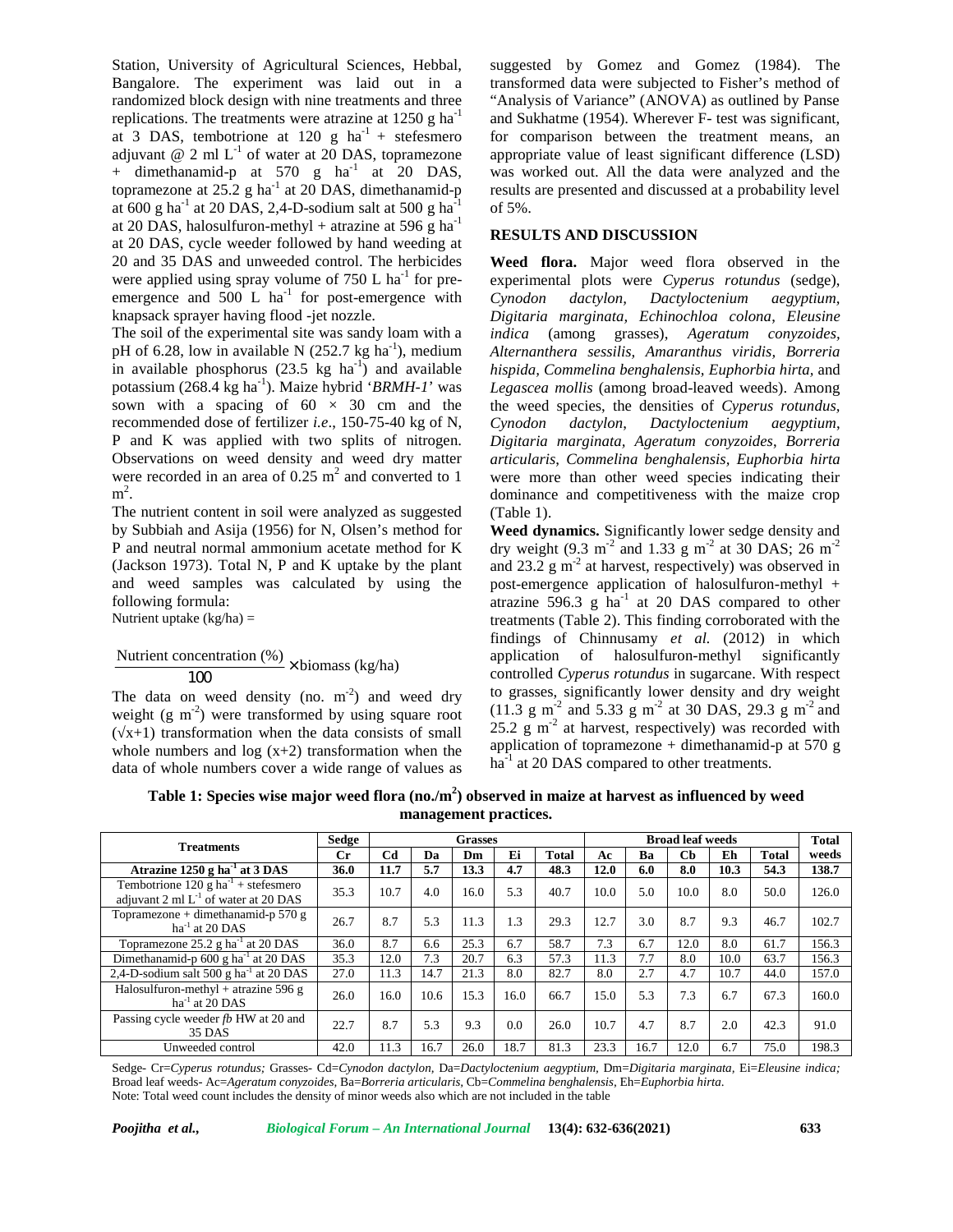Station, University of Agricultural Sciences, Hebbal, Bangalore. The experiment was laid out in a randomized block design with nine treatments and three replications. The treatments were atrazine at  $1250 \text{ g ha}^{-1}$ at 3 DAS, tembotrione at 120 g  $ha^{-1}$  + stefesmero adjuvant @ 2 ml  $L^{-1}$  of water at 20 DAS, topramezone app + dimethanamid-p at  $570$  g ha<sup>-1</sup> at 20 DAS, topramezone at  $25.2$  g ha<sup>-1</sup> at 20 DAS, dimethanamid-p resul at 600 g ha<sup>-1</sup> at 20 DAS, 2,4-D-sodium salt at 500 g ha<sup>-1</sup> at 20 DAS, halosulfuron-methyl + atrazine at 596 g ha<sup>-1</sup> at 20 DAS, cycle weeder followed by hand weeding at 20 and 35 DAS and unweeded control. The herbicides were applied using spray volume of  $750$  L ha<sup>-1</sup> for preemergence and 500 L ha<sup>-1</sup> for post-emergence with  $Cynodon$ knapsack sprayer having flood -jet nozzle.

The soil of the experimental site was sandy loam with a pH of 6.28, low in available N  $(252.7 \text{ kg ha}^{-1})$ , medium in available phosphorus  $(23.5 \text{ kg } \text{ha}^{-1})$  and available potassium (268.4 kg ha<sup>-1</sup>). Maize hybrid '*BRMH-1*' was sown with a spacing of  $60 \times 30$  cm and the recommended dose of fertilizer *i.e*., 150-75-40 kg of N, P and K was applied with two splits of nitrogen. Observations on weed density and weed dry matter were recorded in an area of  $0.25 \text{ m}^2$  and converted to 1  $m^2$ .

The nutrient content in soil were analyzed as suggested by Subbiah and Asija (1956) for N, Olsen's method for P and neutral normal ammonium acetate method for K (Jackson 1973). Total N, P and K uptake by the plant and weed samples was calculated by using the following formula:

Nutrient uptake  $(kg/ha)$  =

Nutrient concentration (%) <sup>×</sup> biomass (kg/ha) <sup>100</sup>

The data on weed density (no. m<sup>-2</sup>) and weed dry to give weight (g m<sup>-2</sup>) were transformed by using square root  $(x+1)$  transformation when the data consists of small whole numbers and  $log(x+2)$  transformation when the data of whole numbers cover a wide range of values as

suggested by Gomez and Gomez (1984). The transformed data were subjected to Fisher's method of "Analysis of Variance" (ANOVA) as outlined by Panse and Sukhatme (1954). Wherever F- test was significant, for comparison between the treatment means, an appropriate value of least significant difference (LSD) was worked out. All the data were analyzed and the results are presented and discussed at a probability level of 5%.

# **RESULTS AND DISCUSSION**

**Weed flora.** Major weed flora observed in the experimental plots were *Cyperus rotundus* (sedge), *Cynodon dactylon, Dactyloctenium aegyptium, Digitaria marginata, Echinochloa colona*, *Eleusine indica* (among grasses), *Ageratum conyzoides, Alternanthera sessilis, Amaranthus viridis, Borreria hispida, Commelina benghalensis, Euphorbia hirta,* and *Legascea mollis* (among broad-leaved weeds). Among the weed species, the densities of *Cyperus rotundus, Cynodon dactylon*, *Dactyloctenium aegyptium*, *Digitaria marginata, Ageratum conyzoides*, *Borreria articularis*, *Commelina benghalensis, Euphorbia hirta* were more than other weed species indicating their dominance and competitiveness with the maize crop (Table 1).

**Weed dynamics.** Significantly lower sedge density and dry weight (9.3 m<sup>-2</sup> and 1.33 g m<sup>-2</sup> at 30 DAS; 26 m<sup>-2</sup> and 23.2  $\rm g$  m<sup>-2</sup> at harvest, respectively) was observed in post-emergence application of halosulfuron-methyl + atrazine  $596.3$  g ha<sup>-1</sup> at 20 DAS compared to other treatments (Table 2). This finding corroborated with the findings of Chinnusamy *et al.* (2012) in which application of halosulfuron-methyl significantly controlled *Cyperus rotundus* in sugarcane. With respect to grasses, significantly lower density and dry weight  $(11.3 \text{ g m}^{-2} \text{ and } 5.33 \text{ g m}^{-2} \text{ at } 30 \text{ DAS}, 29.3 \text{ g m}^{-2} \text{ and }$  $25.2 \text{ g m}^{-2}$  at harvest, respectively) was recorded with application of topramezone + dimethanamid-p at 570 g ha<sup>-1</sup> at 20 DAS compared to other treatments.

**Table 1: Species wise major weed flora (no./m<sup>2</sup>) observed in maize at harvest as influenced by weed management practices.**

| <b>Treatments</b>                                                                            | Sedge | <b>Grasses</b> |      |      |      |       |      | Total |               |      |              |       |
|----------------------------------------------------------------------------------------------|-------|----------------|------|------|------|-------|------|-------|---------------|------|--------------|-------|
|                                                                                              | Сr    | C <sub>d</sub> | Da   | Dm   | Ei   | Total | Аc   | Bа    | $\mathbf C$ b | Eh   | <b>Total</b> | weeds |
| Atrazine $1250$ g ha <sup>-1</sup> at 3 DAS                                                  | 36.0  | 11.7           | 5.7  | 13.3 | 4.7  | 48.3  | 12.0 | 6.0   | 8.0           | 10.3 | 54.3         | 138.7 |
| Tembotrione 120 g ha <sup>-1</sup> + stefesmero<br>adjuvant 2 ml $L^{-1}$ of water at 20 DAS | 35.3  | 10.7           | 4.0  | 16.0 | 5.3  | 40.7  | 10.0 | 5.0   | 10.0          | 8.0  | 50.0         | 126.0 |
| Topramezone + dimethanamid-p 570 g<br>$ha^{-1}$ at 20 DAS                                    | 26.7  | 8.7            | 5.3  | 11.3 | 1.3  | 29.3  | 12.7 | 3.0   | 8.7           | 9.3  | 46.7         | 102.7 |
| Topramezone $25.2$ g ha <sup>-1</sup> at 20 DAS                                              | 36.0  | 8.7            | 6.6  | 25.3 | 6.7  | 58.7  | 7.3  | 6.7   | 12.0          | 8.0  | 61.7         | 156.3 |
| Dimethanamid-p 600 g ha <sup>-1</sup> at 20 DAS                                              | 35.3  | 12.0           | 7.3  | 20.7 | 6.3  | 57.3  | 11.3 | 7.7   | 8.0           | 10.0 | 63.7         | 156.3 |
| 2,4-D-sodium salt 500 g ha <sup>-1</sup> at 20 DAS                                           | 27.0  | 11.3           | 14.7 | 21.3 | 8.0  | 82.7  | 8.0  | 2.7   | 4.7           | 10.7 | 44.0         | 157.0 |
| Halosulfuron-methyl + atrazine 596 g<br>$ha^{-1}$ at 20 DAS                                  | 26.0  | 16.0           | 10.6 | 15.3 | 16.0 | 66.7  | 15.0 | 5.3   | 7.3           | 6.7  | 67.3         | 160.0 |
| Passing cycle weeder fb HW at 20 and<br>35 DAS                                               | 22.7  | 8.7            | 5.3  | 9.3  | 0.0  | 26.0  | 10.7 | 4.7   | 8.7           | 2.0  | 42.3         | 91.0  |
| Unweeded control                                                                             | 42.0  | 11.3           | 16.7 | 26.0 | 18.7 | 81.3  | 23.3 | 16.7  | 12.0          | 6.7  | 75.0         | 198.3 |

Sedge- Cr=*Cyperus rotundus;* Grasses- Cd=*Cynodon dactylon,* Da=*Dactyloctenium aegyptium,* Dm=*Digitaria marginata,* Ei=*Eleusine indica;* Broad leaf weeds*-* Ac=*Ageratum conyzoides,* Ba=*Borreria articularis,* Cb=*Commelina benghalensis*, Eh=*Euphorbia hirta*. Note: Total weed count includes the density of minor weeds also which are not included in the table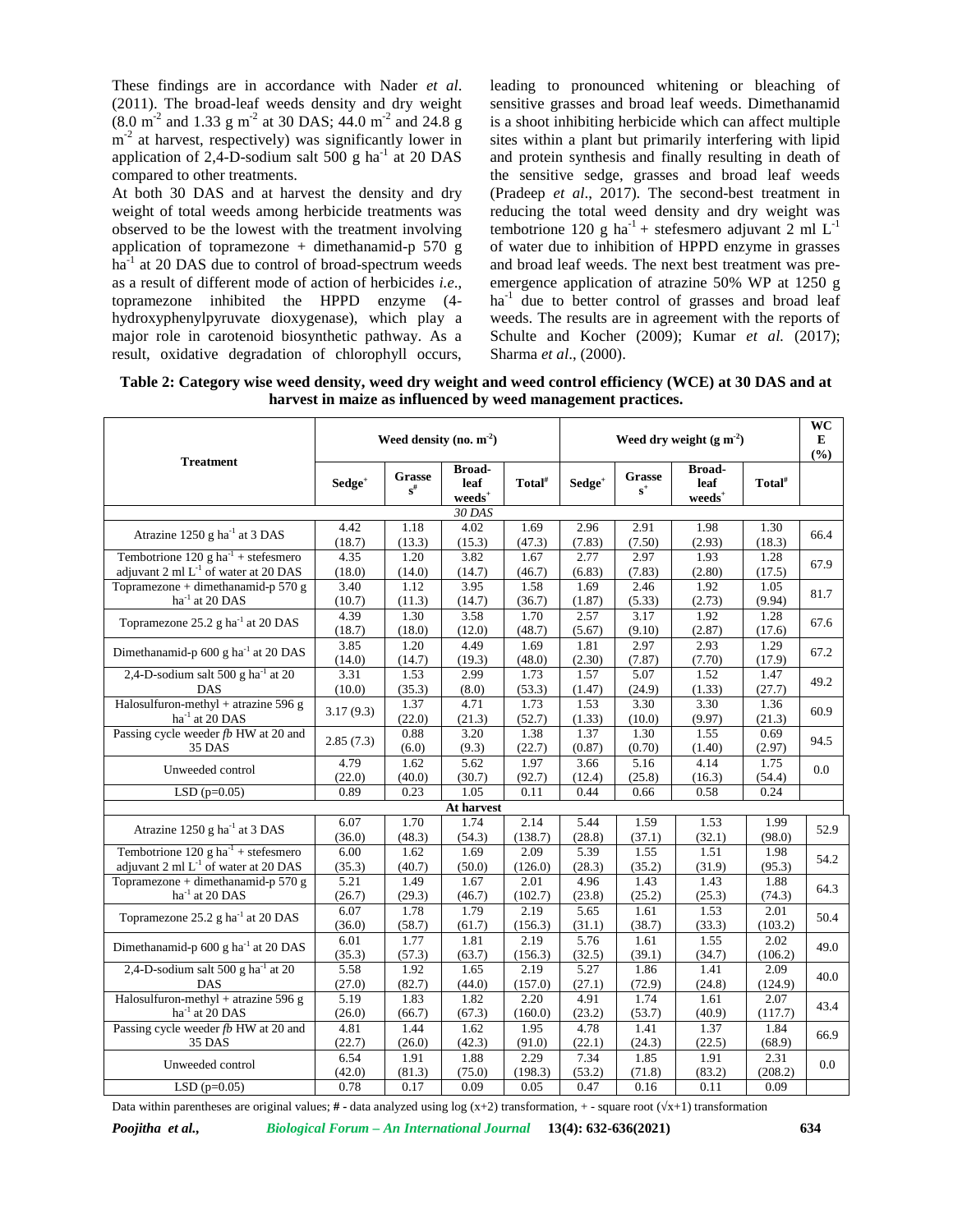These findings are in accordance with Nader *et al*. (2011). The broad-leaf weeds density and dry weight  $(8.0 \text{ m}^2 \text{ and } 1.33 \text{ g m}^2 \text{ at } 30 \text{ DAS}; 44.0 \text{ m}^2 \text{ and } 24.8 \text{ g}$  is a s  $m<sup>-2</sup>$  at harvest, respectively) was significantly lower in sites application of 2,4-D-sodium salt  $500 \text{ g}$  ha<sup>-1</sup> at 20 DAS compared to other treatments.

At both 30 DAS and at harvest the density and dry weight of total weeds among herbicide treatments was observed to be the lowest with the treatment involving application of topramezone + dimethanamid-p  $570$  g ha<sup>-1</sup> at 20 DAS due to control of broad-spectrum weeds as a result of different mode of action of herbicides *i.e*., topramezone inhibited the HPPD enzyme (4 hydroxyphenylpyruvate dioxygenase), which play a major role in carotenoid biosynthetic pathway. As a result, oxidative degradation of chlorophyll occurs,

leading to pronounced whitening or bleaching of sensitive grasses and broad leaf weeds. Dimethanamid is a shoot inhibiting herbicide which can affect multiple sites within a plant but primarily interfering with lipid and protein synthesis and finally resulting in death of the sensitive sedge, grasses and broad leaf weeds (Pradeep *et al*., 2017). The second-best treatment in reducing the total weed density and dry weight was tembotrione 120 g ha<sup>-1</sup> + stefesmero adjuvant 2 ml  $L^{-1}$ of water due to inhibition of HPPD enzyme in grasses and broad leaf weeds. The next best treatment was pre emergence application of atrazine 50% WP at 1250 g  $ha^{-1}$  due to better control of grasses and broad leaf weeds. The results are in agreement with the reports of Schulte and Kocher (2009); Kumar *et al.* (2017); Sharma *et al*., (2000).

**Table 2: Category wise weed density, weed dry weight and weed control efficiency (WCE) at 30 DAS and at harvest in maize as influenced by weed management practices.**

|                                                              |                    |                                    | Weed density (no. $m-2$ )                |                    | Weed dry weight $(g m-2)$ |                 |                                   |                    |         |  |
|--------------------------------------------------------------|--------------------|------------------------------------|------------------------------------------|--------------------|---------------------------|-----------------|-----------------------------------|--------------------|---------|--|
| <b>Treatment</b>                                             | Sedge <sup>+</sup> | Grasse<br>$\mathbf{s}^{\text{\#}}$ | <b>Broad-</b><br>leaf<br>${\bf weeds}^+$ | Total <sup>#</sup> | Sedge <sup>+</sup>        | Grasse<br>$s^+$ | <b>Broad-</b><br>leaf<br>$weeds+$ | Total <sup>#</sup> | (%)     |  |
|                                                              |                    |                                    | 30 DAS                                   |                    |                           |                 |                                   |                    |         |  |
| Atrazine 1250 g ha <sup>-1</sup> at 3 DAS                    | 4.42               | 1.18                               | 4.02                                     | 1.69               | 2.96                      | 2.91            | 1.98                              | 1.30               | 66.4    |  |
|                                                              | (18.7)             | (13.3)                             | (15.3)                                   | (47.3)             | (7.83)                    | (7.50)          | (2.93)                            | (18.3)             |         |  |
| Tembotrione $120 \text{ g} \text{ ha}^{-1}$ + stefesmero     | 4.35               | 1.20                               | 3.82                                     | 1.67               | 2.77                      | 2.97            | 1.93                              | 1.28               | 67.9    |  |
| adjuvant $2 \text{ ml } L^{-1}$ of water at $20 \text{ DAS}$ | (18.0)             | (14.0)                             | (14.7)                                   | (46.7)             | (6.83)                    | (7.83)          | (2.80)                            | (17.5)             |         |  |
| Topramezone + dimethanamid-p 570 g                           | 3.40               | 1.12                               | 3.95                                     | 1.58               | 1.69                      | 2.46            | 1.92                              | 1.05               | 81.7    |  |
| $ha^{-1}$ at 20 DAS                                          | (10.7)             | (11.3)                             | (14.7)                                   | (36.7)             | (1.87)                    | (5.33)          | (2.73)                            | (9.94)             |         |  |
| Topramezone 25.2 g ha <sup>-1</sup> at 20 DAS                | 4.39               | 1.30                               | 3.58                                     | 1.70               | 2.57                      | 3.17            | 1.92                              | 1.28               | 67.6    |  |
|                                                              | (18.7)             | (18.0)                             | (12.0)                                   | (48.7)             | (5.67)                    | (9.10)          | (2.87)                            | (17.6)             |         |  |
| Dimethanamid-p 600 g ha <sup>-1</sup> at 20 DAS              | 3.85               | 1.20                               | 4.49                                     | 1.69               | 1.81                      | 2.97            | 2.93                              | 1.29               | 67.2    |  |
|                                                              | (14.0)             | (14.7)                             | (19.3)                                   | (48.0)             | (2.30)                    | (7.87)          | (7.70)                            | (17.9)             |         |  |
| 2,4-D-sodium salt 500 g ha $^{-1}$ at 20                     | 3.31               | 1.53                               | 2.99                                     | 1.73               | 1.57                      | 5.07            | 1.52                              | 1.47               | 49.2    |  |
| <b>DAS</b>                                                   | (10.0)             | (35.3)                             | (8.0)                                    | (53.3)             | (1.47)                    | (24.9)          | (1.33)                            | (27.7)             |         |  |
| Halosulfuron-methyl + atrazine 596 g                         | 3.17(9.3)          | 1.37                               | 4.71                                     | 1.73               | 1.53                      | 3.30            | 3.30                              | 1.36               | 60.9    |  |
| $ha^{-1}$ at 20 DAS                                          |                    | (22.0)                             | (21.3)                                   | (52.7)             | (1.33)                    | (10.0)          | (9.97)                            | (21.3)             |         |  |
| Passing cycle weeder fb HW at 20 and                         | 2.85(7.3)          | 0.88                               | 3.20                                     | 1.38               | 1.37                      | 1.30            | 1.55                              | 0.69               | 94.5    |  |
| 35 DAS                                                       |                    | (6.0)                              | (9.3)                                    | (22.7)             | (0.87)                    | (0.70)          | (1.40)                            | (2.97)             |         |  |
| Unweeded control                                             | 4.79               | 1.62                               | 5.62                                     | 1.97               | 3.66                      | 5.16            | 4.14                              | 1.75               | $0.0\,$ |  |
|                                                              | (22.0)             | (40.0)                             | (30.7)                                   | (92.7)             | (12.4)                    | (25.8)          | (16.3)                            | (54.4)             |         |  |
| LSD $(p=0.05)$                                               | 0.89               | 0.23                               | 1.05                                     | 0.11               | 0.44                      | 0.66            | 0.58                              | 0.24               |         |  |
|                                                              |                    |                                    | At harvest                               |                    |                           |                 |                                   |                    |         |  |
| Atrazine 1250 g ha <sup>-1</sup> at 3 DAS                    | 6.07               | 1.70                               | 1.74                                     | 2.14               | 5.44                      | 1.59            | 1.53                              | 1.99               | 52.9    |  |
|                                                              | (36.0)             | (48.3)                             | (54.3)                                   | (138.7)            | (28.8)                    | (37.1)          | (32.1)                            | (98.0)             |         |  |
| Tembotrione 120 g ha <sup>-1</sup> + stefesmero              | 6.00               | 1.62                               | 1.69                                     | 2.09               | 5.39                      | 1.55            | 1.51                              | 1.98               | 54.2    |  |
| adjuvant 2 ml L <sup>-1</sup> of water at 20 DAS             | (35.3)             | (40.7)                             | (50.0)                                   | (126.0)            | (28.3)                    | (35.2)          | (31.9)                            | (95.3)             |         |  |
| Topramezone + dimethanamid-p 570 g                           | 5.21               | 1.49                               | 1.67                                     | 2.01               | 4.96                      | 1.43            | 1.43                              | 1.88               | 64.3    |  |
| $\rm{ha}^{-1}$ at 20 DAS                                     | (26.7)             | (29.3)                             | (46.7)                                   | (102.7)            | (23.8)                    | (25.2)          | (25.3)                            | (74.3)             |         |  |
| Topramezone 25.2 g ha <sup>-1</sup> at 20 DAS                | 6.07               | 1.78                               | 1.79                                     | 2.19               | 5.65                      | 1.61            | 1.53                              | 2.01               | 50.4    |  |
|                                                              | (36.0)             | (58.7)                             | (61.7)                                   | (156.3)            | (31.1)                    | (38.7)          | (33.3)                            | (103.2)            |         |  |
| Dimethanamid-p 600 g ha <sup>-1</sup> at 20 DAS              | 6.01               | 1.77                               | 1.81                                     | 2.19               | 5.76                      | 1.61            | 1.55                              | 2.02               | 49.0    |  |
|                                                              | (35.3)             | (57.3)                             | (63.7)                                   | (156.3)            | (32.5)                    | (39.1)          | (34.7)                            | (106.2)            |         |  |
| 2,4-D-sodium salt 500 g ha <sup>-1</sup> at 20               | 5.58               | 1.92                               | 1.65                                     | 2.19               | 5.27                      | 1.86            | 1.41                              | 2.09               | 40.0    |  |
| DAS                                                          | (27.0)             | (82.7)                             | (44.0)                                   | (157.0)            | (27.1)                    | (72.9)          | (24.8)                            | (124.9)            |         |  |
| Halosulfuron-methyl + atrazine 596 g                         | 5.19               | 1.83                               | 1.82                                     | 2.20               | 4.91                      | 1.74            | 1.61                              | 2.07               | 43.4    |  |
| ha <sup>-1</sup> at 20 DAS                                   | (26.0)             | (66.7)                             | (67.3)                                   | (160.0)            | (23.2)                    | (53.7)          | (40.9)                            | (117.7)            |         |  |
| Passing cycle weeder fb HW at 20 and                         | 4.81               | 1.44                               | 1.62                                     | 1.95               | 4.78                      | 1.41            | 1.37                              | 1.84               | 66.9    |  |
| 35 DAS                                                       | (22.7)             | (26.0)                             | (42.3)                                   | (91.0)             | (22.1)                    | (24.3)          | (22.5)                            | (68.9)             |         |  |
| Unweeded control                                             | 6.54<br>(42.0)     | 1.91<br>(81.3)                     | 1.88<br>(75.0)                           | 2.29<br>(198.3)    | 7.34<br>(53.2)            | 1.85<br>(71.8)  | 1.91<br>(83.2)                    | 2.31<br>(208.2)    | $0.0\,$ |  |
| LSD $(p=0.05)$                                               | 0.78               | 0.17                               | 0.09                                     | 0.05               | 0.47                      | 0.16            | 0.11                              | 0.09               |         |  |
|                                                              |                    |                                    |                                          |                    |                           |                 |                                   |                    |         |  |

Data within parentheses are original values;  $#$  **-** data analyzed using log  $(x+2)$  transformation, + - square root  $(x+1)$  transformation

*Poojitha et al., Biological Forum – An International Journal* **13(4): 632-636(2021) 634**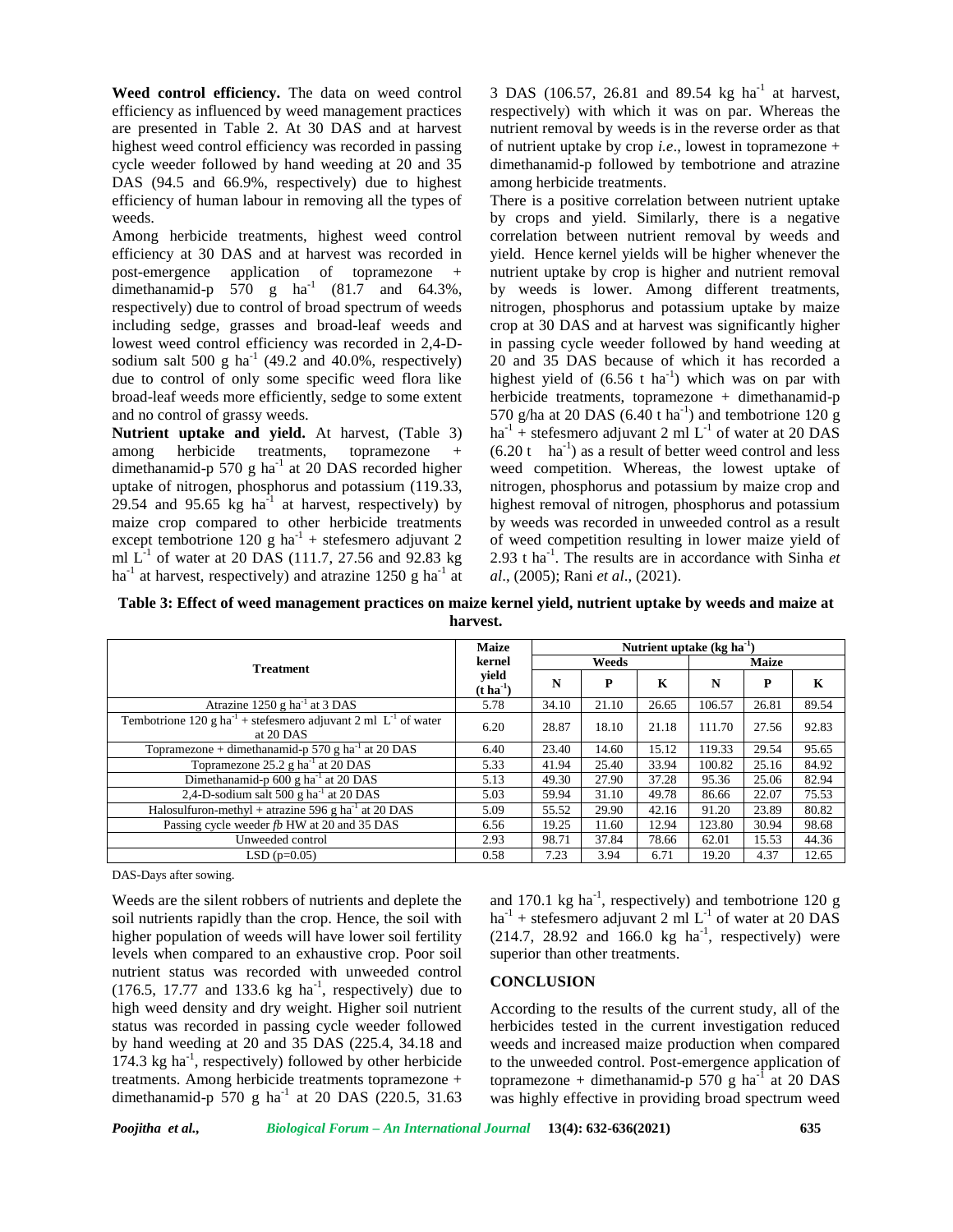**Weed control efficiency.** The data on weed control efficiency as influenced by weed management practices are presented in Table 2. At 30 DAS and at harvest highest weed control efficiency was recorded in passing cycle weeder followed by hand weeding at 20 and 35 DAS (94.5 and 66.9%, respectively) due to highest efficiency of human labour in removing all the types of weeds.

Among herbicide treatments, highest weed control efficiency at 30 DAS and at harvest was recorded in post-emergence application of topramezone + dimethanamid-p  $570$  g ha<sup>-1</sup> (81.7 and 64.3%, respectively) due to control of broad spectrum of weeds including sedge, grasses and broad-leaf weeds and lowest weed control efficiency was recorded in 2,4-D sodium salt 500 g ha<sup>-1</sup> (49.2 and 40.0%, respectively) due to control of only some specific weed flora like broad-leaf weeds more efficiently, sedge to some extent and no control of grassy weeds.

**Nutrient uptake and yield.** At harvest, (Table 3) among herbicide treatments, topramezone + dimethanamid-p 570 g ha $^{-1}$  at 20 DAS recorded higher uptake of nitrogen, phosphorus and potassium (119.33, 29.54 and 95.65 kg ha<sup>-1</sup> at harvest, respectively) by maize crop compared to other herbicide treatments except tembotrione 120 g ha<sup>-1</sup> + stefesmero adjuvant 2 ml  $\rm L^{1}$  of water at 20 DAS (111.7, 27.56 and 92.83 kg 2.93 ha<sup>-1</sup> at harvest, respectively) and atrazine 1250 g ha<sup>-1</sup> at

3 DAS (106.57, 26.81 and 89.54 kg ha<sup>-1</sup> at harvest, respectively) with which it was on par. Whereas the nutrient removal by weeds is in the reverse order as that of nutrient uptake by crop *i.e*., lowest in topramezone + dimethanamid-p followed by tembotrione and atrazine among herbicide treatments.

There is a positive correlation between nutrient uptake by crops and yield. Similarly, there is a negative correlation between nutrient removal by weeds and yield. Hence kernel yields will be higher whenever the nutrient uptake by crop is higher and nutrient removal by weeds is lower. Among different treatments, nitrogen, phosphorus and potassium uptake by maize crop at 30 DAS and at harvest was significantly higher in passing cycle weeder followed by hand weeding at 20 and 35 DAS because of which it has recorded a highest yield of  $(6.56 \text{ t} \text{ ha}^{-1})$  which was on par with herbicide treatments, topramezone + dimethanamid-p 570 g/ha at 20 DAS (6.40 t ha<sup>-1</sup>) and tembotrione 120 g  $ha^{-1}$  + stefesmero adjuvant 2 ml  $L^{-1}$  of water at 20 DAS  $(6.20 t \text{ ha}^{-1})$  as a result of better weed control and less weed competition. Whereas, the lowest uptake of nitrogen, phosphorus and potassium by maize crop and highest removal of nitrogen, phosphorus and potassium by weeds was recorded in unweeded control as a result of weed competition resulting in lower maize yield of 2.93 t ha-1 . The results are in accordance with Sinha *et al*., (2005); Rani *et al*., (2021).

**Table 3: Effect of weed management practices on maize kernel yield, nutrient uptake by weeds and maize at harvest.**

|                                                                                               | <b>Maize</b>                     | Nutrient uptake $(kg ha^{-1})$ |       |       |              |       |       |  |  |
|-----------------------------------------------------------------------------------------------|----------------------------------|--------------------------------|-------|-------|--------------|-------|-------|--|--|
| <b>Treatment</b>                                                                              | kernel                           |                                | Weeds |       | <b>Maize</b> |       |       |  |  |
|                                                                                               | yield<br>$(t \, \text{ha}^{-1})$ | N                              | P     | K     | N            | P     | K     |  |  |
| Atrazine $1250$ g ha <sup>-1</sup> at 3 DAS                                                   | 5.78                             | 34.10                          | 21.10 | 26.65 | 106.57       | 26.81 | 89.54 |  |  |
| Tembotrione $120 g h a^{-1}$ + stefesmero adjuvant 2 ml L <sup>-1</sup> of water<br>at 20 DAS | 6.20                             | 28.87                          | 18.10 | 21.18 | 111.70       | 27.56 | 92.83 |  |  |
| Topramezone + dimethanamid-p 570 g ha <sup>-1</sup> at 20 DAS                                 | 6.40                             | 23.40                          | 14.60 | 15.12 | 119.33       | 29.54 | 95.65 |  |  |
| Topramezone $25.2$ g ha <sup>-1</sup> at 20 DAS                                               | 5.33                             | 41.94                          | 25.40 | 33.94 | 100.82       | 25.16 | 84.92 |  |  |
| Dimethanamid-p 600 g ha <sup>-1</sup> at 20 DAS                                               | 5.13                             | 49.30                          | 27.90 | 37.28 | 95.36        | 25.06 | 82.94 |  |  |
| 2,4-D-sodium salt 500 g ha <sup>-1</sup> at 20 DAS                                            | 5.03                             | 59.94                          | 31.10 | 49.78 | 86.66        | 22.07 | 75.53 |  |  |
| Halosulfuron-methyl + atrazine 596 g ha <sup>-1</sup> at 20 DAS                               | 5.09                             | 55.52                          | 29.90 | 42.16 | 91.20        | 23.89 | 80.82 |  |  |
| Passing cycle weeder fb HW at 20 and 35 DAS                                                   | 6.56                             | 19.25                          | 11.60 | 12.94 | 123.80       | 30.94 | 98.68 |  |  |
| Unweeded control                                                                              | 2.93                             | 98.71                          | 37.84 | 78.66 | 62.01        | 15.53 | 44.36 |  |  |
| $LSD(p=0.05)$                                                                                 | 0.58                             | 7.23                           | 3.94  | 6.71  | 19.20        | 4.37  | 12.65 |  |  |

DAS-Days after sowing.

Weeds are the silent robbers of nutrients and deplete the soil nutrients rapidly than the crop. Hence, the soil with higher population of weeds will have lower soil fertility levels when compared to an exhaustive crop. Poor soil nutrient status was recorded with unweeded control  $(176.5, 17.77, 17.77)$  and 133.6 kg ha<sup>-1</sup>, respectively) due to high weed density and dry weight. Higher soil nutrient status was recorded in passing cycle weeder followed by hand weeding at 20 and 35 DAS (225.4, 34.18 and  $174.3$  kg ha<sup>-1</sup>, respectively) followed by other herbicide to the treatments. Among herbicide treatments topramezone + dimethanamid-p 570 g ha<sup>-1</sup> at 20 DAS (220.5, 31.63)

and 170.1 kg  $\text{ha}^{-1}$ , respectively) and tembotrione 120 g  $ha^{-1}$  + stefesmero adjuvant 2 ml  $L^{-1}$  of water at 20 DAS  $(214.7, 28.92 \text{ and } 166.0 \text{ kg} \text{ ha}^{-1}$ , respectively) were superior than other treatments.

## **CONCLUSION**

According to the results of the current study, all of the herbicides tested in the current investigation reduced weeds and increased maize production when compared to the unweeded control. Post-emergence application of topramezone + dimethanamid-p  $570$  g ha<sup>-1</sup> at 20 DAS was highly effective in providing broad spectrum weed